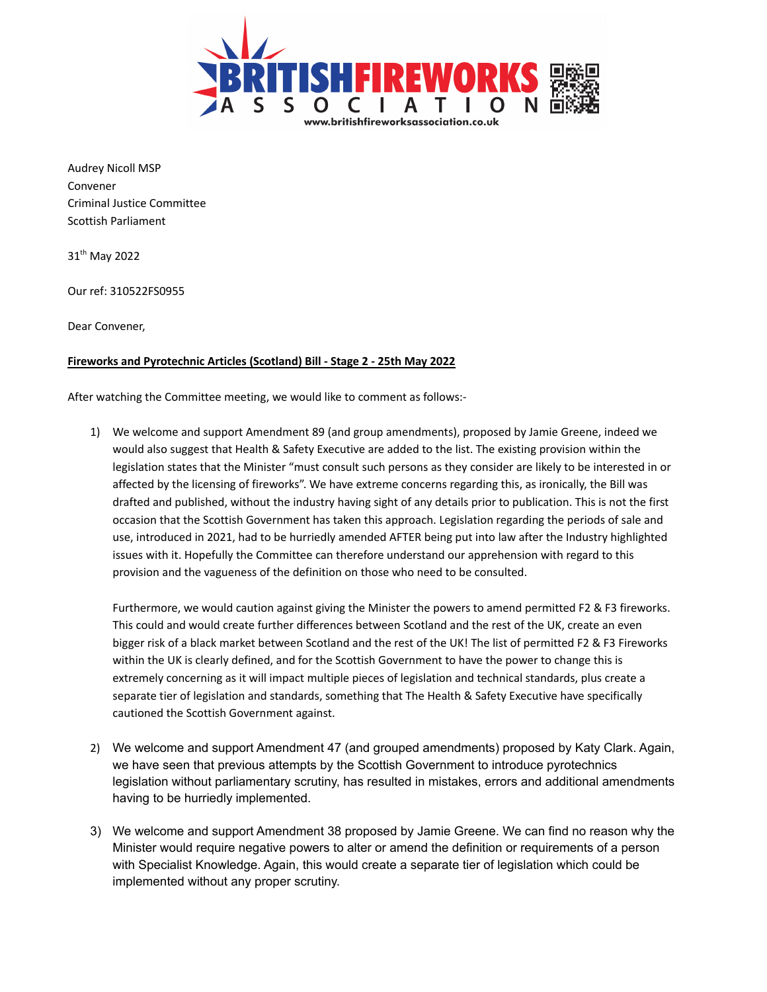

Audrey Nicoll MSP Convener Criminal Justice Committee Scottish Parliament

31<sup>th</sup> May 2022

Our ref: 310522FS0955

Dear Convener,

## **Fireworks and Pyrotechnic Articles (Scotland) Bill - Stage 2 - 25th May 2022**

After watching the Committee meeting, we would like to comment as follows:-

1) We welcome and support Amendment 89 (and group amendments), proposed by Jamie Greene, indeed we would also suggest that Health & Safety Executive are added to the list. The existing provision within the legislation states that the Minister "must consult such persons as they consider are likely to be interested in or affected by the licensing of fireworks". We have extreme concerns regarding this, as ironically, the Bill was drafted and published, without the industry having sight of any details prior to publication. This is not the first occasion that the Scottish Government has taken this approach. Legislation regarding the periods of sale and use, introduced in 2021, had to be hurriedly amended AFTER being put into law after the Industry highlighted issues with it. Hopefully the Committee can therefore understand our apprehension with regard to this provision and the vagueness of the definition on those who need to be consulted.

Furthermore, we would caution against giving the Minister the powers to amend permitted F2 & F3 fireworks. This could and would create further differences between Scotland and the rest of the UK, create an even bigger risk of a black market between Scotland and the rest of the UK! The list of permitted F2 & F3 Fireworks within the UK is clearly defined, and for the Scottish Government to have the power to change this is extremely concerning as it will impact multiple pieces of legislation and technical standards, plus create a separate tier of legislation and standards, something that The Health & Safety Executive have specifically cautioned the Scottish Government against.

- 2) We welcome and support Amendment 47 (and grouped amendments) proposed by Katy Clark. Again, we have seen that previous attempts by the Scottish Government to introduce pyrotechnics legislation without parliamentary scrutiny, has resulted in mistakes, errors and additional amendments having to be hurriedly implemented.
- 3) We welcome and support Amendment 38 proposed by Jamie Greene. We can find no reason why the Minister would require negative powers to alter or amend the definition or requirements of a person with Specialist Knowledge. Again, this would create a separate tier of legislation which could be implemented without any proper scrutiny.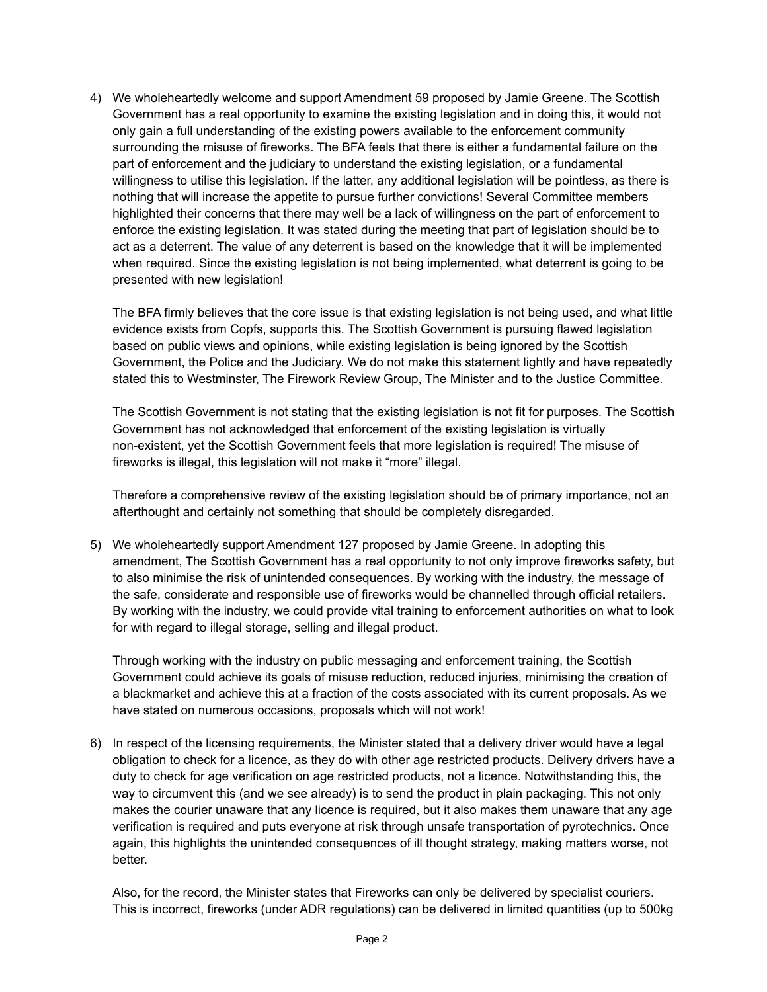4) We wholeheartedly welcome and support Amendment 59 proposed by Jamie Greene. The Scottish Government has a real opportunity to examine the existing legislation and in doing this, it would not only gain a full understanding of the existing powers available to the enforcement community surrounding the misuse of fireworks. The BFA feels that there is either a fundamental failure on the part of enforcement and the judiciary to understand the existing legislation, or a fundamental willingness to utilise this legislation. If the latter, any additional legislation will be pointless, as there is nothing that will increase the appetite to pursue further convictions! Several Committee members highlighted their concerns that there may well be a lack of willingness on the part of enforcement to enforce the existing legislation. It was stated during the meeting that part of legislation should be to act as a deterrent. The value of any deterrent is based on the knowledge that it will be implemented when required. Since the existing legislation is not being implemented, what deterrent is going to be presented with new legislation!

The BFA firmly believes that the core issue is that existing legislation is not being used, and what little evidence exists from Copfs, supports this. The Scottish Government is pursuing flawed legislation based on public views and opinions, while existing legislation is being ignored by the Scottish Government, the Police and the Judiciary. We do not make this statement lightly and have repeatedly stated this to Westminster, The Firework Review Group, The Minister and to the Justice Committee.

The Scottish Government is not stating that the existing legislation is not fit for purposes. The Scottish Government has not acknowledged that enforcement of the existing legislation is virtually non-existent, yet the Scottish Government feels that more legislation is required! The misuse of fireworks is illegal, this legislation will not make it "more" illegal.

Therefore a comprehensive review of the existing legislation should be of primary importance, not an afterthought and certainly not something that should be completely disregarded.

5) We wholeheartedly support Amendment 127 proposed by Jamie Greene. In adopting this amendment, The Scottish Government has a real opportunity to not only improve fireworks safety, but to also minimise the risk of unintended consequences. By working with the industry, the message of the safe, considerate and responsible use of fireworks would be channelled through official retailers. By working with the industry, we could provide vital training to enforcement authorities on what to look for with regard to illegal storage, selling and illegal product.

Through working with the industry on public messaging and enforcement training, the Scottish Government could achieve its goals of misuse reduction, reduced injuries, minimising the creation of a blackmarket and achieve this at a fraction of the costs associated with its current proposals. As we have stated on numerous occasions, proposals which will not work!

6) In respect of the licensing requirements, the Minister stated that a delivery driver would have a legal obligation to check for a licence, as they do with other age restricted products. Delivery drivers have a duty to check for age verification on age restricted products, not a licence. Notwithstanding this, the way to circumvent this (and we see already) is to send the product in plain packaging. This not only makes the courier unaware that any licence is required, but it also makes them unaware that any age verification is required and puts everyone at risk through unsafe transportation of pyrotechnics. Once again, this highlights the unintended consequences of ill thought strategy, making matters worse, not better.

Also, for the record, the Minister states that Fireworks can only be delivered by specialist couriers. This is incorrect, fireworks (under ADR regulations) can be delivered in limited quantities (up to 500kg